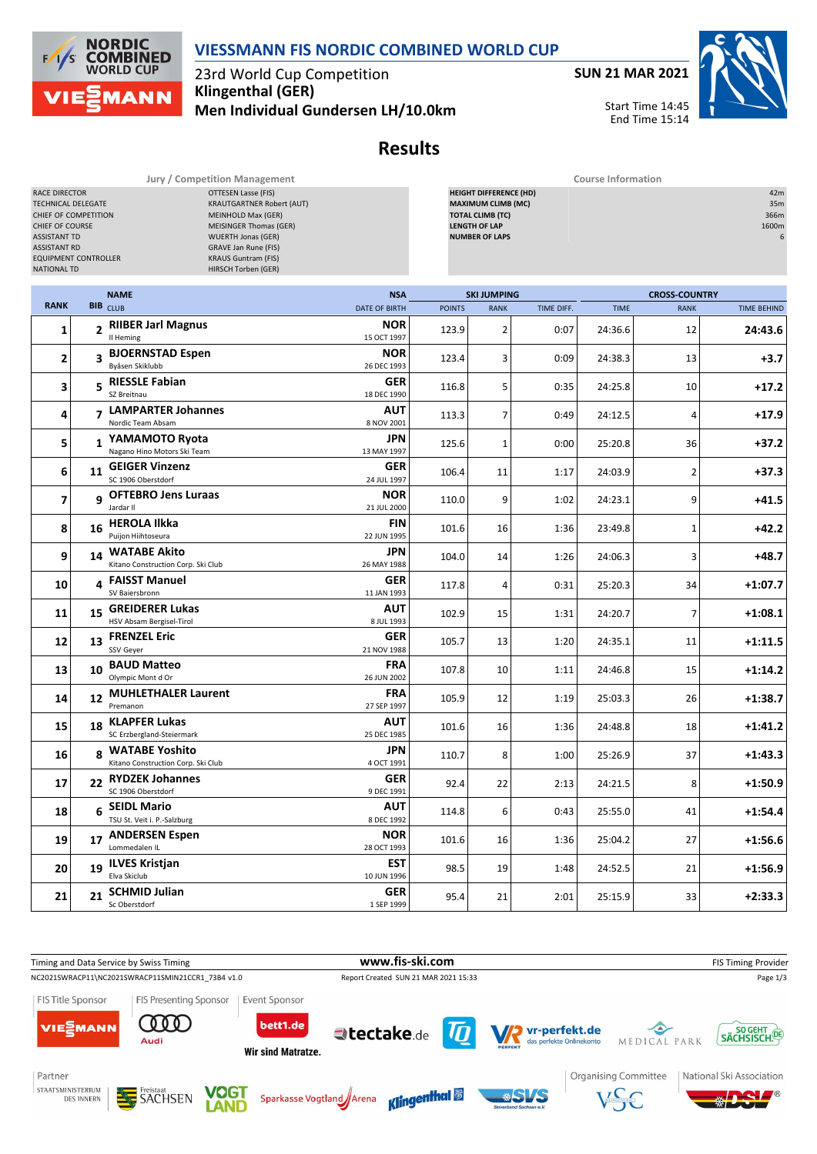

23rd World Cup Competition **Klingenthal (GER) Men Individual Gundersen LH/10.0km** **SUN 21 MAR 2021**



Start Time 14:45 End Time 15:14

## **Results**

| TECHNICAL DELEGATE<br>CHIEF OF COMPETITION<br>CHIEF OF COURSE<br><b>ASSISTANT TD</b><br><b>ASSISTANT RD</b><br>EQUIPMENT CONTROLLER<br>NATIONAL TD |                   |                                                             | <b>KRAUTGARTNER Robert (AUT)</b><br>MEINHOLD Max (GER)<br><b>MEISINGER Thomas (GER)</b><br><b>WUERTH Jonas (GER)</b><br>GRAVE Jan Rune (FIS)<br><b>KRAUS Guntram (FIS)</b><br>HIRSCH Torben (GER) |                           |               | <b>MAXIMUM CLIMB (MC)</b><br><b>TOTAL CLIMB (TC)</b><br><b>LENGTH OF LAP</b><br><b>NUMBER OF LAPS</b> |            |             |                      | 35m<br>366m<br>1600m |  |
|----------------------------------------------------------------------------------------------------------------------------------------------------|-------------------|-------------------------------------------------------------|---------------------------------------------------------------------------------------------------------------------------------------------------------------------------------------------------|---------------------------|---------------|-------------------------------------------------------------------------------------------------------|------------|-------------|----------------------|----------------------|--|
| <b>RANK</b>                                                                                                                                        |                   | <b>NAME</b>                                                 |                                                                                                                                                                                                   | <b>NSA</b>                |               | <b>SKI JUMPING</b>                                                                                    |            |             | <b>CROSS-COUNTRY</b> |                      |  |
|                                                                                                                                                    |                   | <b>BIB</b> CLUB                                             |                                                                                                                                                                                                   | <b>DATE OF BIRTH</b>      | <b>POINTS</b> | <b>RANK</b>                                                                                           | TIME DIFF. | <b>TIME</b> | <b>RANK</b>          | <b>TIME BEHIND</b>   |  |
| $\mathbf{1}$                                                                                                                                       |                   | 2 RIIBER Jarl Magnus<br>Il Heming                           |                                                                                                                                                                                                   | <b>NOR</b><br>15 OCT 1997 | 123.9         | 2                                                                                                     | 0:07       | 24:36.6     | 12                   | 24:43.6              |  |
| $\mathbf{2}$                                                                                                                                       |                   | 3 BJOERNSTAD Espen<br>Byåsen Skiklubb                       |                                                                                                                                                                                                   | <b>NOR</b><br>26 DEC 1993 | 123.4         | 3                                                                                                     | 0:09       | 24:38.3     | 13                   | +3.7                 |  |
| 3                                                                                                                                                  |                   | 5 RIESSLE Fabian<br>SZ Breitnau                             |                                                                                                                                                                                                   | <b>GER</b><br>18 DEC 1990 | 116.8         | 5                                                                                                     | 0:35       | 24:25.8     | 10                   | $+17.2$              |  |
| 4                                                                                                                                                  |                   | 7 LAMPARTER Johannes<br>Nordic Team Absam                   |                                                                                                                                                                                                   | <b>AUT</b><br>8 NOV 2001  | 113.3         | $\overline{7}$                                                                                        | 0:49       | 24:12.5     | 4                    | $+17.9$              |  |
| 5                                                                                                                                                  | $\mathbf{1}$      | YAMAMOTO Ryota<br>Nagano Hino Motors Ski Team               |                                                                                                                                                                                                   | <b>JPN</b><br>13 MAY 1997 | 125.6         | $\mathbf 1$                                                                                           | 0:00       | 25:20.8     | 36                   | $+37.2$              |  |
| 6                                                                                                                                                  |                   | 11 GEIGER Vinzenz<br>SC 1906 Oberstdorf                     |                                                                                                                                                                                                   | GER<br>24 JUL 1997        | 106.4         | 11                                                                                                    | 1:17       | 24:03.9     | $\overline{2}$       | $+37.3$              |  |
| $\overline{\phantom{a}}$                                                                                                                           |                   | 9 OFTEBRO Jens Luraas<br>Jardar II                          |                                                                                                                                                                                                   | <b>NOR</b><br>21 JUL 2000 | 110.0         | 9                                                                                                     | 1:02       | 24:23.1     | 9                    | $+41.5$              |  |
| 8                                                                                                                                                  |                   | 16 HEROLA Ilkka<br>Puijon Hiihtoseura                       |                                                                                                                                                                                                   | FIN<br>22 JUN 1995        | 101.6         | 16                                                                                                    | 1:36       | 23:49.8     | $\mathbf{1}$         | $+42.2$              |  |
| 9                                                                                                                                                  | 14                | <b>WATABE Akito</b><br>Kitano Construction Corp. Ski Club   |                                                                                                                                                                                                   | <b>JPN</b><br>26 MAY 1988 | 104.0         | 14                                                                                                    | 1:26       | 24:06.3     | 3                    | $+48.7$              |  |
| 10                                                                                                                                                 | 4                 | <b>FAISST Manuel</b><br>SV Baiersbronn                      |                                                                                                                                                                                                   | GER<br>11 JAN 1993        | 117.8         | 4                                                                                                     | 0:31       | 25:20.3     | 34                   | $+1:07.7$            |  |
| 11                                                                                                                                                 | 15                | <b>GREIDERER Lukas</b><br>HSV Absam Bergisel-Tirol          |                                                                                                                                                                                                   | <b>AUT</b><br>8 JUL 1993  | 102.9         | 15                                                                                                    | 1:31       | 24:20.7     | 7                    | $+1:08.1$            |  |
| 12                                                                                                                                                 |                   | 13 FRENZEL Eric<br>SSV Geyer                                |                                                                                                                                                                                                   | GER<br>21 NOV 1988        | 105.7         | 13                                                                                                    | 1:20       | 24:35.1     | 11                   | $+1:11.5$            |  |
| 13                                                                                                                                                 | 10                | <b>BAUD Matteo</b><br>Olympic Mont d Or                     |                                                                                                                                                                                                   | <b>FRA</b><br>26 JUN 2002 | 107.8         | 10                                                                                                    | 1:11       | 24:46.8     | 15                   | $+1:14.2$            |  |
| 14                                                                                                                                                 | $12 \overline{ }$ | <b>MUHLETHALER Laurent</b><br>Premanon                      |                                                                                                                                                                                                   | FRA<br>27 SEP 1997        | 105.9         | 12                                                                                                    | 1:19       | 25:03.3     | 26                   | $+1:38.7$            |  |
| 15                                                                                                                                                 | 18                | <b>KLAPFER Lukas</b><br>SC Erzbergland-Steiermark           |                                                                                                                                                                                                   | <b>AUT</b><br>25 DEC 1985 | 101.6         | 16                                                                                                    | 1:36       | 24:48.8     | 18                   | +1:41.2              |  |
| 16                                                                                                                                                 | 8                 | <b>WATABE Yoshito</b><br>Kitano Construction Corp. Ski Club |                                                                                                                                                                                                   | <b>JPN</b><br>4 OCT 1991  | 110.7         | 8                                                                                                     | 1:00       | 25:26.9     | 37                   | $+1:43.3$            |  |
| 17                                                                                                                                                 | 22                | <b>RYDZEK Johannes</b><br>SC 1906 Oberstdorf                |                                                                                                                                                                                                   | <b>GER</b><br>9 DEC 1991  | 92.4          | 22                                                                                                    | 2:13       | 24:21.5     | 8                    | +1:50.9              |  |
| 18                                                                                                                                                 | 6                 | <b>SEIDL Mario</b><br>TSU St. Veit i. P.-Salzburg           |                                                                                                                                                                                                   | <b>AUT</b><br>8 DEC 1992  | 114.8         | 6                                                                                                     | 0:43       | 25:55.0     | 41                   | $+1:54.4$            |  |
| 19                                                                                                                                                 |                   | 17 ANDERSEN Espen<br>Lommedalen IL                          |                                                                                                                                                                                                   | <b>NOR</b><br>28 OCT 1993 | 101.6         | 16                                                                                                    | 1:36       | 25:04.2     | 27                   | $+1:56.6$            |  |
| 20                                                                                                                                                 |                   | 19 ILVES Kristjan<br>Elva Skiclub                           |                                                                                                                                                                                                   | EST<br>10 JUN 1996        | 98.5          | 19                                                                                                    | 1:48       | 24:52.5     | 21                   | $+1:56.9$            |  |
| 21                                                                                                                                                 | 21                | <b>SCHMID Julian</b><br>Sc Oberstdorf                       |                                                                                                                                                                                                   | <b>GER</b><br>1 SEP 1999  | 95.4          | 21                                                                                                    | 2:01       | 25:15.9     | 33                   | $+2:33.3$            |  |





**Jury / Competition Management Course Information** RACE DIRECTOR OTTESEN Lasse (FIS) **HEIGHT DIFFERENCE (HD)** 42m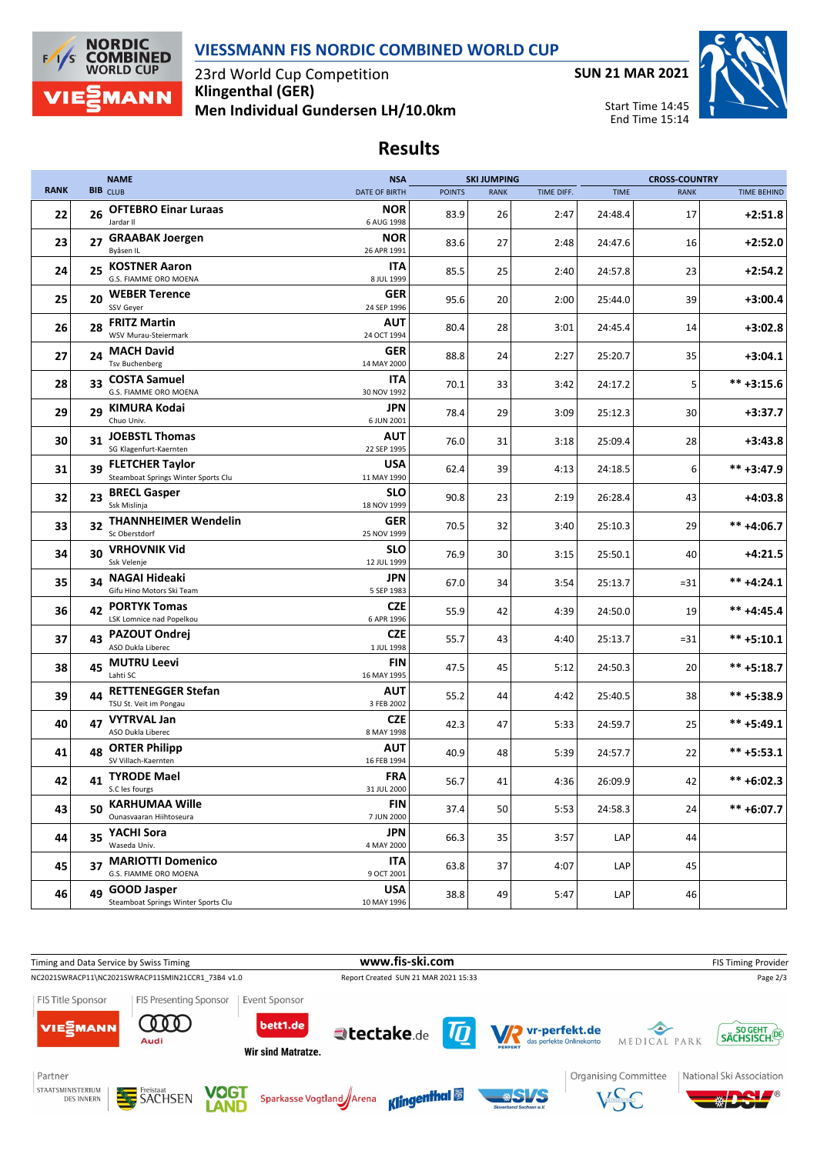



23rd World Cup Competition **Klingenthal (GER) Men Individual Gundersen LH/10.0km**



Start Time 14:45 End Time 15:14

## **Results**

|             |    | <b>NAME</b>                                                   | <b>NSA</b>                |               | <b>SKI JUMPING</b> |            |             | <b>CROSS-COUNTRY</b> |                    |
|-------------|----|---------------------------------------------------------------|---------------------------|---------------|--------------------|------------|-------------|----------------------|--------------------|
| <b>RANK</b> |    | <b>BIB</b> CLUB                                               | <b>DATE OF BIRTH</b>      | <b>POINTS</b> | <b>RANK</b>        | TIME DIFF. | <b>TIME</b> | <b>RANK</b>          | <b>TIME BEHIND</b> |
| 22          | 26 | <b>OFTEBRO Einar Luraas</b><br>Jardar II                      | <b>NOR</b><br>6 AUG 1998  | 83.9          | 26                 | 2:47       | 24:48.4     | 17                   | $+2:51.8$          |
| 23          | 27 | <b>GRAABAK Joergen</b><br>Byåsen IL                           | <b>NOR</b><br>26 APR 1991 | 83.6          | 27                 | 2:48       | 24:47.6     | 16                   | $+2:52.0$          |
| 24          |    | 25 KOSTNER Aaron<br>G.S. FIAMME ORO MOENA                     | ITA<br>8 JUL 1999         | 85.5          | 25                 | 2:40       | 24:57.8     | 23                   | $+2:54.2$          |
| 25          | 20 | <b>WEBER Terence</b><br>SSV Geyer                             | <b>GER</b><br>24 SEP 1996 | 95.6          | 20                 | 2:00       | 25:44.0     | 39                   | $+3:00.4$          |
| 26          | 28 | <b>FRITZ Martin</b><br>WSV Murau-Steiermark                   | AUT<br>24 OCT 1994        | 80.4          | 28                 | 3:01       | 24:45.4     | 14                   | $+3:02.8$          |
| 27          | 24 | <b>MACH David</b><br><b>Tsv Buchenberg</b>                    | <b>GER</b><br>14 MAY 2000 | 88.8          | 24                 | 2:27       | 25:20.7     | 35                   | $+3:04.1$          |
| 28          |    | 33 COSTA Samuel<br>G.S. FIAMME ORO MOENA                      | ITA<br>30 NOV 1992        | 70.1          | 33                 | 3:42       | 24:17.2     | 5                    | $*** +3:15.6$      |
| 29          | 29 | KIMURA Kodai<br>Chuo Univ.                                    | JPN<br>6 JUN 2001         | 78.4          | 29                 | 3:09       | 25:12.3     | 30                   | $+3:37.7$          |
| 30          | 31 | <b>JOEBSTL Thomas</b><br>SG Klagenfurt-Kaernten               | AUT<br>22 SEP 1995        | 76.0          | 31                 | 3:18       | 25:09.4     | 28                   | $+3:43.8$          |
| 31          | 39 | <b>FLETCHER Taylor</b><br>Steamboat Springs Winter Sports Clu | <b>USA</b><br>11 MAY 1990 | 62.4          | 39                 | 4:13       | 24:18.5     | 6                    | ** +3:47.9         |
| 32          | 23 | <b>BRECL Gasper</b><br>Ssk Mislinja                           | SLO<br>18 NOV 1999        | 90.8          | 23                 | 2:19       | 26:28.4     | 43                   | $+4:03.8$          |
| 33          | 32 | <b>THANNHEIMER Wendelin</b><br>Sc Oberstdorf                  | <b>GER</b><br>25 NOV 1999 | 70.5          | 32                 | 3:40       | 25:10.3     | 29                   | $*** +4:06.7$      |
| 34          | 30 | <b>VRHOVNIK Vid</b><br>Ssk Velenje                            | <b>SLO</b><br>12 JUL 1999 | 76.9          | 30                 | 3:15       | 25:50.1     | 40                   | $+4:21.5$          |
| 35          |    | 34 NAGAI Hideaki<br>Gifu Hino Motors Ski Team                 | JPN<br>5 SEP 1983         | 67.0          | 34                 | 3:54       | 25:13.7     | $= 31$               | $*** +4:24.1$      |
| 36          | 42 | <b>PORTYK Tomas</b><br>LSK Lomnice nad Popelkou               | <b>CZE</b><br>6 APR 1996  | 55.9          | 42                 | 4:39       | 24:50.0     | 19                   | $*** +4:45.4$      |
| 37          |    | 43 PAZOUT Ondrej<br>ASO Dukla Liberec                         | <b>CZE</b><br>1 JUL 1998  | 55.7          | 43                 | 4:40       | 25:13.7     | $= 31$               | $*** +5:10.1$      |
| 38          | 45 | <b>MUTRU Leevi</b><br>Lahti SC                                | <b>FIN</b><br>16 MAY 1995 | 47.5          | 45                 | 5:12       | 24:50.3     | 20                   | $*** +5:18.7$      |
| 39          | 44 | <b>RETTENEGGER Stefan</b><br>TSU St. Veit im Pongau           | AUT<br>3 FEB 2002         | 55.2          | 44                 | 4:42       | 25:40.5     | 38                   | ** +5:38.9         |
| 40          | 47 | <b>VYTRVAL Jan</b><br>ASO Dukla Liberec                       | <b>CZE</b><br>8 MAY 1998  | 42.3          | 47                 | 5:33       | 24:59.7     | 25                   | $*** +5:49.1$      |
| 41          | 48 | <b>ORTER Philipp</b><br>SV Villach-Kaernten                   | AUT<br>16 FEB 1994        | 40.9          | 48                 | 5:39       | 24:57.7     | 22                   | $*** +5:53.1$      |
| 42          |    | 41 TYRODE Mael<br>S.C les fourgs                              | <b>FRA</b><br>31 JUL 2000 | 56.7          | 41                 | 4:36       | 26:09.9     | 42                   | $*** + 6:02.3$     |
| 43          | 50 | <b>KARHUMAA Wille</b><br>Ounasyaaran Hiihtoseura              | <b>FIN</b><br>7 JUN 2000  | 37.4          | 50                 | 5:53       | 24:58.3     | 24                   | $*** + 6:07.7$     |
| 44          |    | 35 YACHI Sora<br>Waseda Univ.                                 | JPN<br>4 MAY 2000         | 66.3          | 35                 | 3:57       | LAP         | 44                   |                    |
| 45          |    | 37 MARIOTTI Domenico<br>G.S. FIAMME ORO MOENA                 | ITA<br>9 OCT 2001         | 63.8          | 37                 | 4:07       | LAP         | 45                   |                    |
| 46          |    | 49 GOOD Jasper<br>Steamboat Springs Winter Sports Clu         | <b>USA</b><br>10 MAY 1996 | 38.8          | 49                 | 5:47       | LAP         | 46                   |                    |